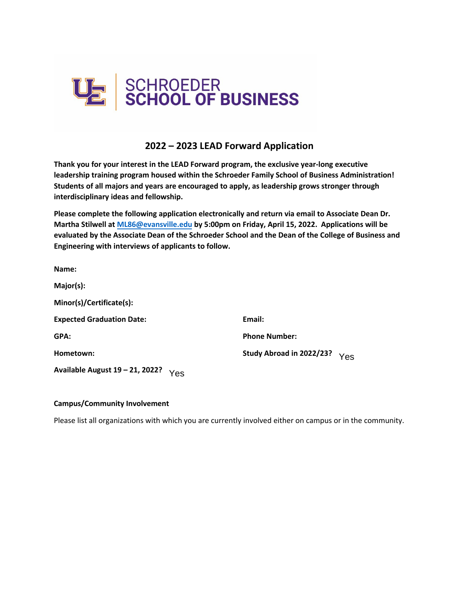

# **2022 – 2023 LEAD Forward Application**

**Thank you for your interest in the LEAD Forward program, the exclusive year-long executive leadership training program housed within the Schroeder Family School of Business Administration! Students of all majors and years are encouraged to apply, as leadership grows stronger through interdisciplinary ideas and fellowship.** 

**Please complete the following application electronically and return via email to Associate Dean Dr. Martha Stilwell at [ML86@evansville.edu](mailto:ML86@evansville.edu) by 5:00pm on Friday, April 15, 2022. Applications will be evaluated by the Associate Dean of the Schroeder School and the Dean of the College of Business and Engineering with interviews of applicants to follow.** 

| Name:                                  |                          |     |
|----------------------------------------|--------------------------|-----|
| Major(s):                              |                          |     |
| Minor(s)/Certificate(s):               |                          |     |
| <b>Expected Graduation Date:</b>       | Email:                   |     |
| GPA:                                   | <b>Phone Number:</b>     |     |
| Hometown:                              | Study Abroad in 2022/23? | Yes |
| Available August 19 - 21, 2022?<br>Yes |                          |     |

#### **Campus/Community Involvement**

Please list all organizations with which you are currently involved either on campus or in the community.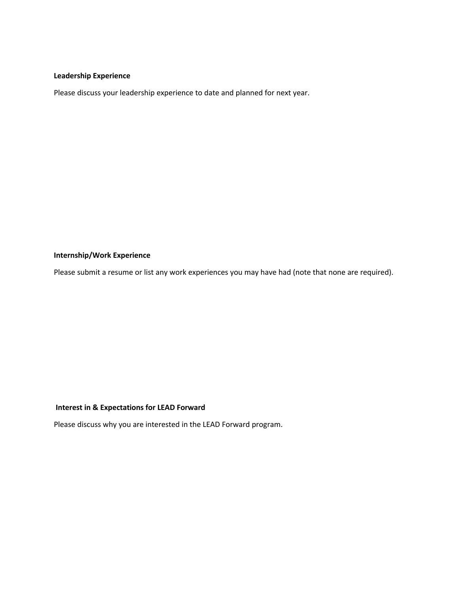#### **Leadership Experience**

Please discuss your leadership experience to date and planned for next year.

## **Internship/Work Experience**

Please submit a resume or list any work experiences you may have had (note that none are required).

### **Interest in & Expectations for LEAD Forward**

Please discuss why you are interested in the LEAD Forward program.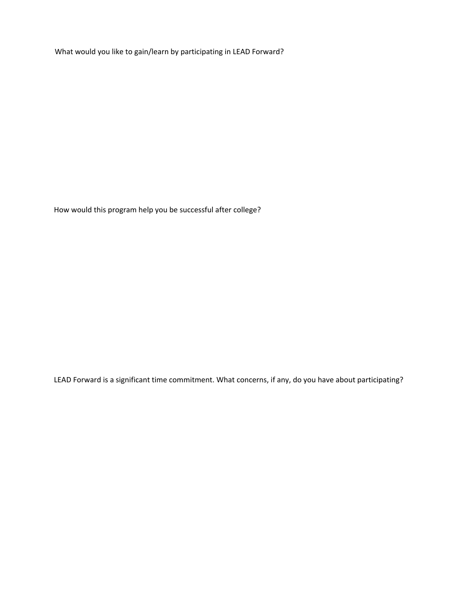What would you like to gain/learn by participating in LEAD Forward?

How would this program help you be successful after college?

LEAD Forward is a significant time commitment. What concerns, if any, do you have about participating?